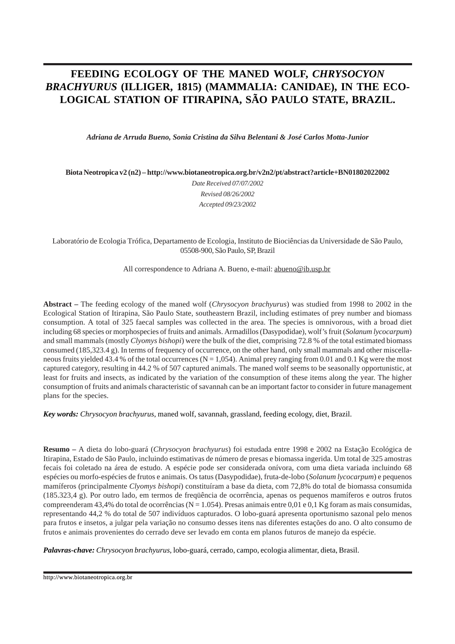# **FEEDING ECOLOGY OF THE MANED WOLF,** *CHRYSOCYON BRACHYURUS* **(ILLIGER, 1815) (MAMMALIA: CANIDAE), IN THE ECO-LOGICAL STATION OF ITIRAPINA, SÃO PAULO STATE, BRAZIL.**

*Adriana de Arruda Bueno, Sonia Cristina da Silva Belentani & José Carlos Motta-Junior*

**Biota Neotropica v2 (n2) – <http://www.biotaneotropica.org.br/v2n2/pt/abstract?article+BN01802022002>**

*Date Received 07/07/2002 Revised 08/26/2002 Accepted 09/23/2002*

Laboratório de Ecologia Trófica, Departamento de Ecologia, Instituto de Biociências da Universidade de São Paulo, 05508-900, São Paulo, SP, Brazil

All correspondence to Adriana A. Bueno, e-mail[: abueno@ib.usp.br](mailto:abueno@ib.usp.br) 

**Abstract –** The feeding ecology of the maned wolf (*Chrysocyon brachyurus*) was studied from 1998 to 2002 in the Ecological Station of Itirapina, São Paulo State, southeastern Brazil, including estimates of prey number and biomass consumption. A total of 325 faecal samples was collected in the area. The species is omnivorous, with a broad diet including 68 species or morphospecies of fruits and animals. Armadillos (Dasypodidae), wolf's fruit (*Solanum lycocarpum*) and small mammals (mostly *Clyomys bishopi*) were the bulk of the diet, comprising 72.8 % of the total estimated biomass consumed (185,323.4 g). In terms of frequency of occurrence, on the other hand, only small mammals and other miscellaneous fruits yielded 43.4 % of the total occurrences ( $N = 1,054$ ). Animal prey ranging from 0.01 and 0.1 Kg were the most captured category, resulting in 44.2 % of 507 captured animals. The maned wolf seems to be seasonally opportunistic, at least for fruits and insects, as indicated by the variation of the consumption of these items along the year. The higher consumption of fruits and animals characteristic of savannah can be an important factor to consider in future management plans for the species.

*Key words: Chrysocyon brachyurus*, maned wolf, savannah, grassland, feeding ecology, diet, Brazil.

**Resumo –** A dieta do lobo-guará (*Chrysocyon brachyurus*) foi estudada entre 1998 e 2002 na Estação Ecológica de Itirapina, Estado de São Paulo, incluindo estimativas de número de presas e biomassa ingerida. Um total de 325 amostras fecais foi coletado na área de estudo. A espécie pode ser considerada onívora, com uma dieta variada incluindo 68 espécies ou morfo-espécies de frutos e animais. Os tatus (Dasypodidae), fruta-de-lobo (*Solanum lycocarpum*) e pequenos mamíferos (principalmente *Clyomys bishopi*) constituíram a base da dieta, com 72,8% do total de biomassa consumida (185.323,4 g). Por outro lado, em termos de freqüência de ocorrência, apenas os pequenos mamíferos e outros frutos compreenderam 43,4% do total de ocorrências (N = 1.054). Presas animais entre 0,01 e 0,1 Kg foram as mais consumidas, representando 44,2 % do total de 507 indivíduos capturados. O lobo-guará apresenta oportunismo sazonal pelo menos para frutos e insetos, a julgar pela variação no consumo desses itens nas diferentes estações do ano. O alto consumo de frutos e animais provenientes do cerrado deve ser levado em conta em planos futuros de manejo da espécie.

*Palavras-chave: Chrysocyon brachyurus*, lobo-guará, cerrado, campo, ecologia alimentar, dieta, Brasil.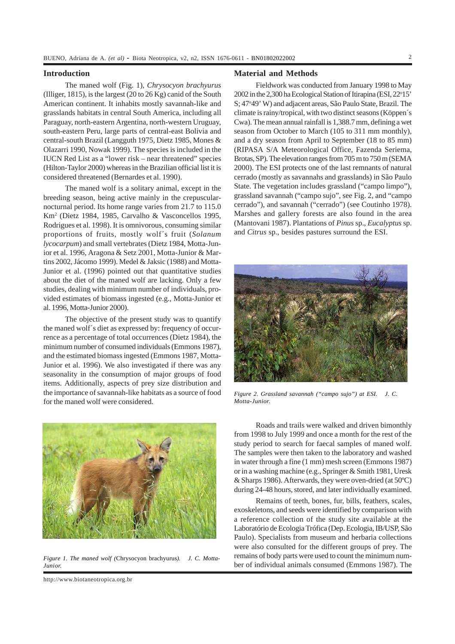## **Introduction**

The maned wolf (Fig. 1), *Chrysocyon brachyurus* (Illiger, 1815), is the largest (20 to 26 Kg) canid of the South American continent. It inhabits mostly savannah-like and grasslands habitats in central South America, including all Paraguay, north-eastern Argentina, north-western Uruguay, south-eastern Peru, large parts of central-east Bolivia and central-south Brazil (Langguth 1975, Dietz 1985, Mones & Olazarri 1990, Nowak 1999). The species is included in the IUCN Red List as a "lower risk – near threatened" species (Hilton-Taylor 2000) whereas in the Brazilian official list it is considered threatened (Bernardes et al. 1990).

The maned wolf is a solitary animal, except in the breeding season, being active mainly in the crepuscularnocturnal period. Its home range varies from 21.7 to 115.0 Km2 (Dietz 1984, 1985, Carvalho & Vasconcellos 1995, Rodrigues et al. 1998). It is omnivorous, consuming similar proportions of fruits, mostly wolf´s fruit (*Solanum lycocarpum*) and small vertebrates (Dietz 1984, Motta-Junior et al. 1996, Aragona & Setz 2001, Motta-Junior & Martins 2002, Jácomo 1999). Medel & Jaksic (1988) and Motta-Junior et al. (1996) pointed out that quantitative studies about the diet of the maned wolf are lacking. Only a few studies, dealing with minimum number of individuals, provided estimates of biomass ingested (e.g., Motta-Junior et al. 1996, Motta-Junior 2000).

The objective of the present study was to quantify the maned wolf´s diet as expressed by: frequency of occurrence as a percentage of total occurrences (Dietz 1984), the minimum number of consumed individuals (Emmons 1987), and the estimated biomass ingested (Emmons 1987, Motta-Junior et al. 1996). We also investigated if there was any seasonality in the consumption of major groups of food items. Additionally, aspects of prey size distribution and the importance of savannah-like habitats as a source of food for the maned wolf were considered.



*Figure 1. The maned wolf (*Chrysocyon brachyurus*). J. C. Motta-Junior.*

http://www.biotaneotropica.org.br

# **Material and Methods**

Fieldwork was conducted from January 1998 to May 2002 in the 2,300 ha Ecological Station of Itirapina (ESI, 22°15' S; 47°49' W) and adjacent areas, São Paulo State, Brazil. The climate is rainy/tropical, with two distinct seasons (Köppen´s Cwa). The mean annual rainfall is 1,388.7 mm, defining a wet season from October to March (105 to 311 mm monthly), and a dry season from April to September (18 to 85 mm) (RIPASA S/A Meteorological Office, Fazenda Seriema, Brotas, SP). The elevation ranges from 705 m to 750 m (SEMA 2000). The ESI protects one of the last remnants of natural cerrado (mostly as savannahs and grasslands) in São Paulo State. The vegetation includes grassland ("campo limpo"), grassland savannah ("campo sujo", see Fig. 2, and "campo cerrado"), and savannah ("cerrado") (see Coutinho 1978). Marshes and gallery forests are also found in the area (Mantovani 1987). Plantations of *Pinus* sp., *Eucalyptus* sp. and *Citrus* sp., besides pastures surround the ESI.



*Figure 2. Grassland savannah ("campo sujo") at ESI.*<sup>©</sup> *J. C. Motta-Junior.*

Roads and trails were walked and driven bimonthly from 1998 to July 1999 and once a month for the rest of the study period to search for faecal samples of maned wolf. The samples were then taken to the laboratory and washed in water through a fine (1 mm) mesh screen (Emmons 1987) or in a washing machine (e.g., Springer & Smith 1981, Uresk & Sharps 1986). Afterwards, they were oven-dried (at 50ºC) during 24-48 hours, stored, and later individually examined.

Remains of teeth, bones, fur, bills, feathers, scales, exoskeletons, and seeds were identified by comparison with a reference collection of the study site available at the Laboratório de Ecologia Trófica (Dep. Ecologia, IB/USP, São Paulo). Specialists from museum and herbaria collections were also consulted for the different groups of prey. The remains of body parts were used to count the minimum number of individual animals consumed (Emmons 1987). The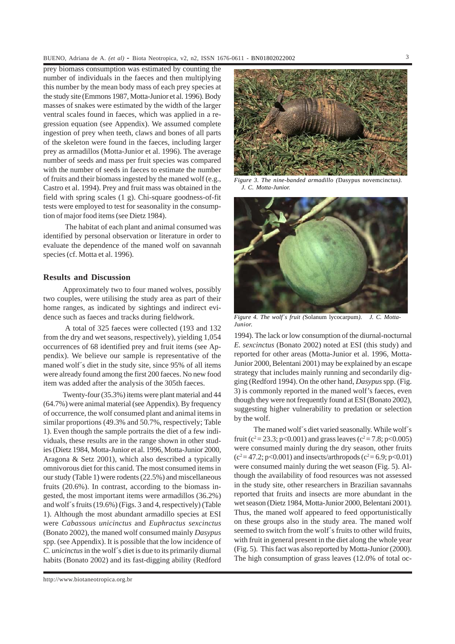prey biomass consumption was estimated by counting the number of individuals in the faeces and then multiplying this number by the mean body mass of each prey species at the study site (Emmons 1987, Motta-Junior et al. 1996). Body masses of snakes were estimated by the width of the larger ventral scales found in faeces, which was applied in a regression equation (see Appendix). We assumed complete ingestion of prey when teeth, claws and bones of all parts of the skeleton were found in the faeces, including larger prey as armadillos (Motta-Junior et al. 1996). The average number of seeds and mass per fruit species was compared with the number of seeds in faeces to estimate the number of fruits and their biomass ingested by the maned wolf (e.g., Castro et al. 1994). Prey and fruit mass was obtained in the field with spring scales (1 g). Chi-square goodness-of-fit tests were employed to test for seasonality in the consumption of major food items (see Dietz 1984).

The habitat of each plant and animal consumed was identified by personal observation or literature in order to evaluate the dependence of the maned wolf on savannah species (cf. Motta et al. 1996).

# **Results and Discussion**

Approximately two to four maned wolves, possibly two couples, were utilising the study area as part of their home ranges, as indicated by sightings and indirect evidence such as faeces and tracks during fieldwork.

A total of 325 faeces were collected (193 and 132 from the dry and wet seasons, respectively), yielding 1,054 occurrences of 68 identified prey and fruit items (see Appendix). We believe our sample is representative of the maned wolf´s diet in the study site, since 95% of all items were already found among the first 200 faeces. No new food item was added after the analysis of the 305th faeces.

Twenty-four (35.3%) items were plant material and 44 (64.7%) were animal material (see Appendix). By frequency of occurrence, the wolf consumed plant and animal items in similar proportions (49.3% and 50.7%, respectively; Table 1). Even though the sample portraits the diet of a few individuals, these results are in the range shown in other studies (Dietz 1984, Motta-Junior et al. 1996, Motta-Junior 2000, Aragona & Setz 2001), which also described a typically omnivorous diet for this canid. The most consumed items in our study (Table 1) were rodents (22.5%) and miscellaneous fruits (20.6%). In contrast, according to the biomass ingested, the most important items were armadillos (36.2%) and wolf´s fruits (19.6%) (Figs. 3 and 4, respectively) (Table 1). Although the most abundant armadillo species at ESI were *Cabassous unicinctus* and *Euphractus sexcinctus* (Bonato 2002), the maned wolf consumed mainly *Dasypus* spp. (see Appendix). It is possible that the low incidence of *C. unicinctus* in the wolf´s diet is due to its primarily diurnal habits (Bonato 2002) and its fast-digging ability (Redford



*Figure 3. The nine-banded armadillo (*Dasypus novemcinctus*). J. C. Motta-Junior.*



*Figure 4. The wolf's fruit (Solanum lycocarpum).© J. C. Motta-Junior.*

1994). The lack or low consumption of the diurnal-nocturnal *E. sexcinctus* (Bonato 2002) noted at ESI (this study) and reported for other areas (Motta-Junior et al. 1996, Motta-Junior 2000, Belentani 2001) may be explained by an escape strategy that includes mainly running and secondarily digging (Redford 1994). On the other hand, *Dasypus* spp. (Fig. 3) is commonly reported in the maned wolf's faeces, even though they were not frequently found at ESI (Bonato 2002), suggesting higher vulnerability to predation or selection by the wolf.

The maned wolf´s diet varied seasonally. While wolf´s fruit (c<sup>2</sup> = 23.3; p<0.001) and grass leaves (c<sup>2</sup> = 7.8; p<0.005) were consumed mainly during the dry season, other fruits  $(c^2 = 47.2; p<0.001)$  and insects/arthropods  $(c^2 = 6.9; p<0.01)$ were consumed mainly during the wet season (Fig. 5). Although the availability of food resources was not assessed in the study site, other researchers in Brazilian savannahs reported that fruits and insects are more abundant in the wet season (Dietz 1984, Motta-Junior 2000, Belentani 2001). Thus, the maned wolf appeared to feed opportunistically on these groups also in the study area. The maned wolf seemed to switch from the wolf´s fruits to other wild fruits, with fruit in general present in the diet along the whole year (Fig. 5). This fact was also reported by Motta-Junior (2000). The high consumption of grass leaves (12.0% of total oc-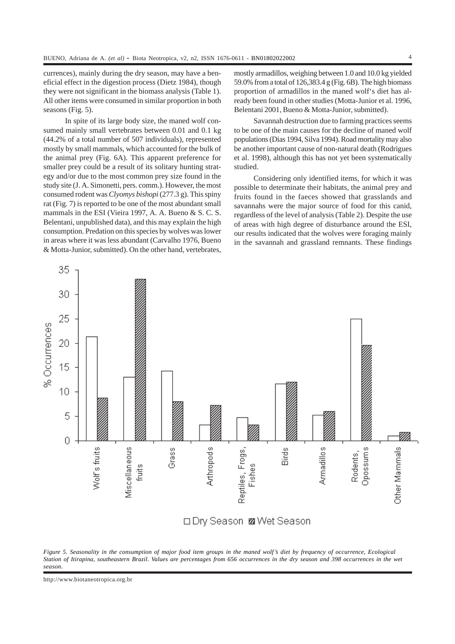currences), mainly during the dry season, may have a beneficial effect in the digestion process (Dietz 1984), though they were not significant in the biomass analysis (Table 1). All other items were consumed in similar proportion in both seasons (Fig. 5).

In spite of its large body size, the maned wolf consumed mainly small vertebrates between 0.01 and 0.1 kg (44.2% of a total number of 507 individuals), represented mostly by small mammals, which accounted for the bulk of the animal prey (Fig. 6A). This apparent preference for smaller prey could be a result of its solitary hunting strategy and/or due to the most common prey size found in the study site (J. A. Simonetti, pers. comm.). However, the most consumed rodent was *Clyomys bishopi* (277.3 g). This spiny rat (Fig. 7) is reported to be one of the most abundant small mammals in the ESI (Vieira 1997, A. A. Bueno & S. C. S. Belentani, unpublished data), and this may explain the high consumption. Predation on this species by wolves was lower in areas where it was less abundant (Carvalho 1976, Bueno & Motta-Junior, submitted). On the other hand, vertebrates, mostly armadillos, weighing between 1.0 and 10.0 kg yielded 59.0% from a total of 126,383.4 g (Fig. 6B). The high biomass proportion of armadillos in the maned wolf's diet has already been found in other studies (Motta-Junior et al. 1996, Belentani 2001, Bueno & Motta-Junior, submitted).

Savannah destruction due to farming practices seems to be one of the main causes for the decline of maned wolf populations (Dias 1994, Silva 1994). Road mortality may also be another important cause of non-natural death (Rodrigues et al. 1998), although this has not yet been systematically studied.

Considering only identified items, for which it was possible to determinate their habitats, the animal prey and fruits found in the faeces showed that grasslands and savannahs were the major source of food for this canid. regardless of the level of analysis (Table 2). Despite the use of areas with high degree of disturbance around the ESI, our results indicated that the wolves were foraging mainly in the savannah and grassland remnants. These findings



*Figure 5. Seasonality in the consumption of major food item groups in the maned wolf's diet by frequency of occurrence, Ecological Station of Itirapina, southeastern Brazil. Values are percentages from 656 occurrences in the dry season and 398 occurrences in the wet season.*

http://www.biotaneotropica.org.br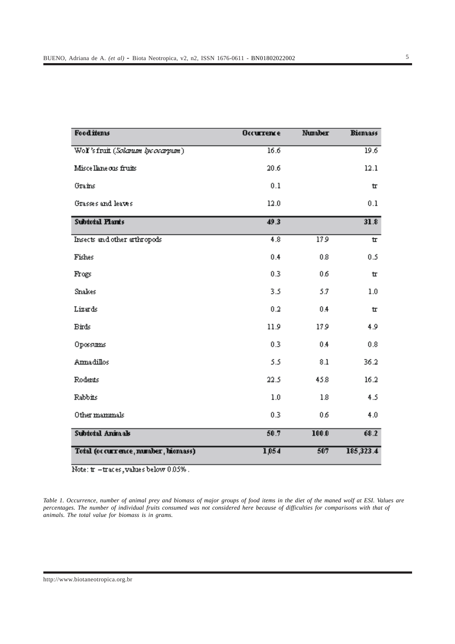| <b>Food items</b>                   | <b>Occurrence</b> | <b>Number</b> | <b>Biomass</b> |
|-------------------------------------|-------------------|---------------|----------------|
| Wol's fruit (Solarum lycocarpum)    | 16.6              |               | 19.6           |
| Miscellaneous fruits                | 20.6              |               | 12.1           |
| Grains                              | 0.1               |               | 廿              |
| Grasses and leaves                  | 12.0              |               | 0.1            |
| <b>Subtotal Plants</b>              | 49.3              |               | 31.8           |
| Insects and other arthropods        | 4.8               | 179           | 廿              |
| Fishes                              | 0.4               | 0.8           | 0.5            |
| Frogs                               | 0.3               | 06            | ш              |
| Snakes                              | 3.5               | 53            | 1.0            |
| Lizards                             | 0.2               | 0.4           | д              |
| <b>Birds</b>                        | 11.9              | 179           | 4.9            |
| Oposums                             | 0.3               | 0.4           | 0.8            |
| Annadillos                          | 5.5               | $\rm 8.1$     | 36.2           |
| Rodents                             | 22.5              | 45.8          | 16.2           |
| Rabbits                             | 1.0               | 1.8           | 4.5            |
| Other mammals                       | 0.3               | 0,6           | 4.0            |
| Subtotal Animals                    | 50.7              | 100.0         | 68.2           |
| Total (occurrence, number, hiomass) | 1,054             | 507           | 185,323.4      |

Note: tr -traces, values below 0.05%.

*Table 1. Occurrence, number of animal prey and biomass of major groups of food items in the diet of the maned wolf at ESI. Values are percentages. The number of individual fruits consumed was not considered here because of difficulties for comparisons with that of animals. The total value for biomass is in grams.*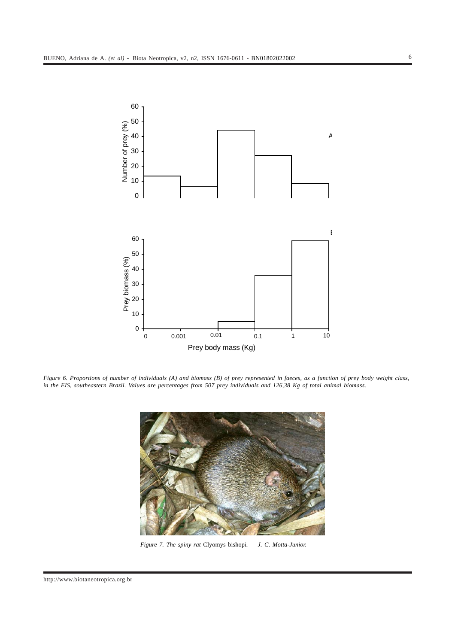

*Figure 6. Proportions of number of individuals (A) and biomass (B) of prey represented in faeces, as a function of prey body weight class, in the EIS, southeastern Brazil. Values are percentages from 507 prey individuals and 126,38 Kg of total animal biomass.*



*Figure 7. The spiny rat* Clyomys bishopi*. J. C. Motta-Junior.*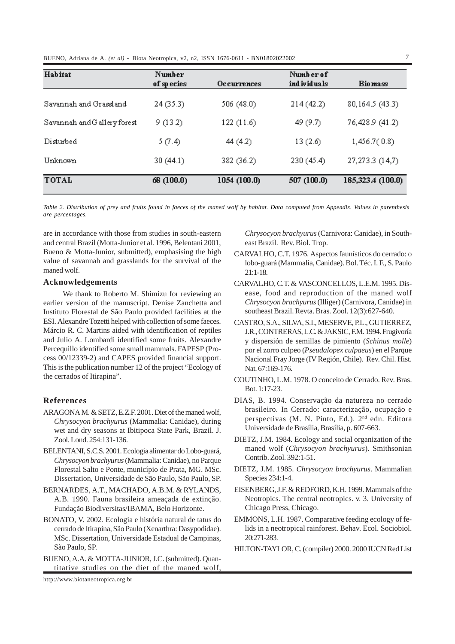BUENO, Adriana de A. *(et al)* - Biota Neotropica, v2, n2, ISSN 1676-0611 - BN01802022002 7

| Habitat                     | Number<br>of species | Occurrences  | Number of<br>ind ividuals | <b>Biomass</b>    |
|-----------------------------|----------------------|--------------|---------------------------|-------------------|
| Savannah and Grassland      | 24 (35.3)            | 506 (48.0)   | 214(42.2)                 | 80, 164.5 (43.3)  |
| Savannah and Gallery forest | 9(13.2)              | 122(11.6)    | 49 (9.7)                  | 76,428.9 (41.2)   |
| Disturbed                   | 5 (7.4)              | 44 (4.2)     | 13(2.6)                   | 1,456.7(0.8)      |
| Unknown                     | 30 (44.1)            | 382 (36.2)   | 230(45.4)                 | 27, 273.3 (14, 7) |
| <b>TOTAL</b>                | 68 (100.0)           | 1054 (100.0) | 507 (100.0)               | 185,323.4 (100.0) |

*Table 2. Distribution of prey and fruits found in faeces of the maned wolf by habitat. Data computed from Appendix. Values in parenthesis are percentages.*

are in accordance with those from studies in south-eastern and central Brazil (Motta-Junior et al. 1996, Belentani 2001, Bueno & Motta-Junior, submitted), emphasising the high value of savannah and grasslands for the survival of the maned wolf.

# **Acknowledgements**

We thank to Roberto M. Shimizu for reviewing an earlier version of the manuscript. Denise Zanchetta and Instituto Florestal de São Paulo provided facilities at the ESI. Alexandre Tozetti helped with collection of some faeces. Márcio R. C. Martins aided with identification of reptiles and Julio A. Lombardi identified some fruits. Alexandre Percequillo identified some small mammals. FAPESP (Process 00/12339-2) and CAPES provided financial support. This is the publication number 12 of the project "Ecology of the cerrados of Itirapina".

# **References**

- ARAGONA M. & SETZ, E.Z.F. 2001. Diet of the maned wolf, *Chrysocyon brachyurus* (Mammalia: Canidae), during wet and dry seasons at Ibitipoca State Park, Brazil. J. Zool. Lond. 254:131-136.
- BELENTANI, S.C.S. 2001. Ecologia alimentar do Lobo-guará, *Chrysocyon brachyurus* (Mammalia: Canidae), no Parque Florestal Salto e Ponte, município de Prata, MG. MSc. Dissertation, Universidade de São Paulo, São Paulo, SP.
- BERNARDES, A.T., MACHADO, A.B.M. & RYLANDS, A.B. 1990. Fauna brasileira ameaçada de extinção. Fundação Biodiversitas/IBAMA, Belo Horizonte.
- BONATO, V. 2002. Ecologia e história natural de tatus do cerrado de Itirapina, São Paulo (Xenarthra: Dasypodidae). MSc. Dissertation, Universidade Estadual de Campinas, São Paulo, SP.
- BUENO, A.A. & MOTTA-JUNIOR, J.C. (submitted). Quantitative studies on the diet of the maned wolf,

*Chrysocyon brachyurus* (Carnivora: Canidae), in Southeast Brazil. Rev. Biol. Trop.

- CARVALHO, C.T. 1976. Aspectos faunísticos do cerrado: o lobo-guará (Mammalia, Canidae). Bol. Téc. I. F., S. Paulo 21:1-18.
- CARVALHO, C.T. & VASCONCELLOS, L.E.M. 1995. Disease, food and reproduction of the maned wolf *Chrysocyon brachyurus* (Illiger) (Carnivora, Canidae) in southeast Brazil. Revta. Bras. Zool. 12(3):627-640.
- CASTRO, S.A., SILVA, S.I., MESERVE, P.L., GUTIERREZ, J.R., CONTRERAS, L.C. & JAKSIC, F.M. 1994. Frugivoría y dispersión de semillas de pimiento (*Schinus molle*) por el zorro culpeo (*Pseudalopex culpaeus*) en el Parque Nacional Fray Jorge (IV Región, Chile). Rev. Chil. Hist. Nat. 67:169-176.
- COUTINHO, L.M. 1978. O conceito de Cerrado. Rev. Bras. Bot. 1:17-23.
- DIAS, B. 1994. Conservação da natureza no cerrado brasileiro. In Cerrado: caracterização, ocupação e perspectivas (M. N. Pinto, Ed.). 2nd edn. Editora Universidade de Brasília, Brasília, p. 607-663.
- DIETZ, J.M. 1984. Ecology and social organization of the maned wolf (*Chrysocyon brachyurus*). Smithsonian Contrib. Zool. 392:1-51.
- DIETZ, J.M. 1985. *Chrysocyon brachyurus*. Mammalian Species 234:1-4.
- EISENBERG, J.F. & REDFORD, K.H. 1999. Mammals of the Neotropics. The central neotropics. v. 3. University of Chicago Press, Chicago.
- EMMONS, L.H. 1987. Comparative feeding ecology of felids in a neotropical rainforest. Behav. Ecol. Sociobiol. 20:271-283.
- HILTON-TAYLOR, C. (compiler) 2000. 2000 IUCN Red List

<http://www.biotaneotropica.org.br>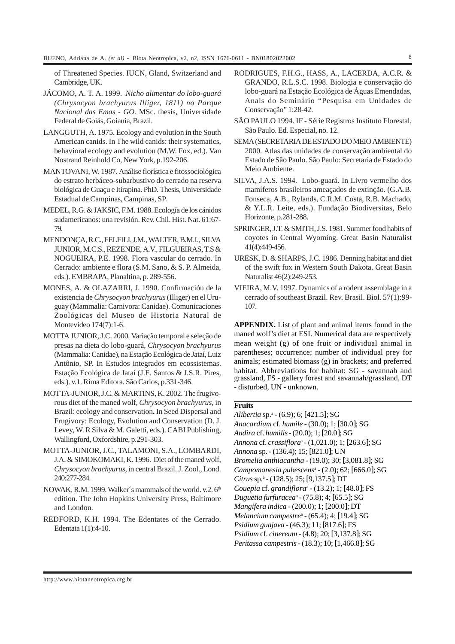of Threatened Species. IUCN, Gland, Switzerland and Cambridge, UK.

- JÁCOMO, A. T. A. 1999. *Nicho alimentar do lobo-guará (Chrysocyon brachyurus Illiger, 1811) no Parque Nacional das Emas - GO*. MSc. thesis, Universidade Federal de Goiás, Goiania, Brazil.
- LANGGUTH, A. 1975. Ecology and evolution in the South American canids. In The wild canids: their systematics, behavioral ecology and evolution (M.W. Fox, ed.). Van Nostrand Reinhold Co, New York, p.192-206.
- MANTOVANI, W. 1987. Análise florística e fitossociológica do estrato herbáceo-subarbustivo do cerrado na reserva biológica de Guaçu e Itirapina. PhD. Thesis, Universidade Estadual de Campinas, Campinas, SP.
- MEDEL, R.G. & JAKSIC, F.M. 1988. Ecología de los cánidos sudamericanos: una revisión. Rev. Chil. Hist. Nat. 61:67- 79.
- MENDONÇA, R.C., FELFILI, J.M., WALTER, B.M.I., SILVA JUNIOR, M.C.S., REZENDE, A.V., FILGUEIRAS, T.S & NOGUEIRA, P.E. 1998. Flora vascular do cerrado. In Cerrado: ambiente e flora (S.M. Sano, & S. P. Almeida, eds.). EMBRAPA, Planaltina, p. 289-556.
- MONES, A. & OLAZARRI, J. 1990. Confirmación de la existencia de *Chrysocyon brachyurus* (Illiger) en el Uruguay (Mammalia: Carnivora: Canidae). Comunicaciones Zoológicas del Museo de Historia Natural de Montevideo 174(7):1-6.
- MOTTA JUNIOR, J.C. 2000. Variação temporal e seleção de presas na dieta do lobo-guará, *Chrysocyon brachyurus* (Mammalia: Canidae), na Estação Ecológica de Jataí, Luiz Antônio, SP. In Estudos integrados em ecossistemas. Estação Ecológica de Jataí (J.E. Santos & J.S.R. Pires, eds.). v.1. Rima Editora. São Carlos, p.331-346.
- MOTTA-JUNIOR, J.C. & MARTINS, K. 2002. The frugivorous diet of the maned wolf, *Chrysocyon brachyurus,* in Brazil: ecology and conservation**.** In Seed Dispersal and Frugivory: Ecology, Evolution and Conservation (D. J. Levey, W. R Silva & M. Galetti, eds.). CABI Publishing, Wallingford, Oxfordshire, p.291-303.
- MOTTA-JUNIOR, J.C., TALAMONI, S.A., LOMBARDI, J.A. & SIMOKOMAKI, K. 1996. Diet of the maned wolf, *Chrysocyon brachyurus*, in central Brazil. J. Zool., Lond. 240:277-284.
- NOWAK, R.M. 1999. Walker's mammals of the world. v.2. 6<sup>th</sup> edition. The John Hopkins University Press, Baltimore and London.
- REDFORD, K.H. 1994. The Edentates of the Cerrado. Edentata 1(1):4-10.
- RODRIGUES, F.H.G., HASS, A., LACERDA, A.C.R. & GRANDO, R.L.S.C. 1998. Biologia e conservação do lobo-guará na Estação Ecológica de Águas Emendadas, Anais do Seminário "Pesquisa em Unidades de Conservação" 1:28-42.
- SÃO PAULO 1994. IF Série Registros Instituto Florestal, São Paulo. Ed. Especial, no. 12.
- SEMA (SECRETARIA DE ESTADO DO MEIO AMBIENTE) 2000. Atlas das unidades de conservação ambiental do Estado de São Paulo. São Paulo: Secretaria de Estado do Meio Ambiente.
- SILVA, J.A.S. 1994. Lobo-guará. In Livro vermelho dos mamíferos brasileiros ameaçados de extinção. (G.A.B. Fonseca, A.B., Rylands, C.R.M. Costa, R.B. Machado, & Y.L.R. Leite, eds.). Fundação Biodiversitas, Belo Horizonte, p.281-288.
- SPRINGER, J.T. & SMITH, J.S. 1981. Summer food habits of coyotes in Central Wyoming. Great Basin Naturalist 41(4):449-456.
- URESK, D. & SHARPS, J.C. 1986. Denning habitat and diet of the swift fox in Western South Dakota. Great Basin Naturalist 46(2):249-253.
- VIEIRA, M.V. 1997. Dynamics of a rodent assemblage in a cerrado of southeast Brazil. Rev. Brasil. Biol. 57(1):99- 107.

**APPENDIX.** List of plant and animal items found in the maned wolf's diet at ESI. Numerical data are respectively mean weight (g) of one fruit or individual animal in parentheses; occurrence; number of individual prey for animals; estimated biomass (g) in brackets; and preferred habitat. Abbreviations for habitat: SG - savannah and grassland, FS - gallery forest and savannah/grassland, DT - disturbed, UN - unknown.

# **Fruits**

*Alibertia* sp.a - (6.9); 6; [421.5]; SG *Anacardium* cf. *humile* - (30.0); 1; [30.0]; SG *Andira* cf. *humilis*- (20.0); 1; [20.0]; SG *Annona* cf. *crassiflora*<sup>a</sup> - (1,021.0); 1; [263.6]; SG *Annona* sp. - (136.4); 15; [821.0]; UN *Bromelia anthiacantha* - (19.0); 30; [3,081.8]; SG *Campomanesia pubescens*<sup>a</sup> - (2.0); 62; [666.0]; SG *Citrus* sp.a - (128.5); 25; [9,137.5]; DT *Couepia* cf. *grandiflora*<sup>a</sup> - (13.2); 1; [48.0]; FS *Duguetia furfuracea*<sup>a</sup> - (75.8); 4; [65.5]; SG *Mangifera indica* - (200.0); 1; [200.0]; DT *Melancium campestre*<sup>a</sup> - (65.4); 4; [19.4]; SG *Psidium guajava* - (46.3); 11; [817.6]; FS *Psidium* cf. *cinereum* - (4.8); 20; [3,137.8]; SG *Peritassa campestris* - (18.3); 10; [1,466.8]; SG